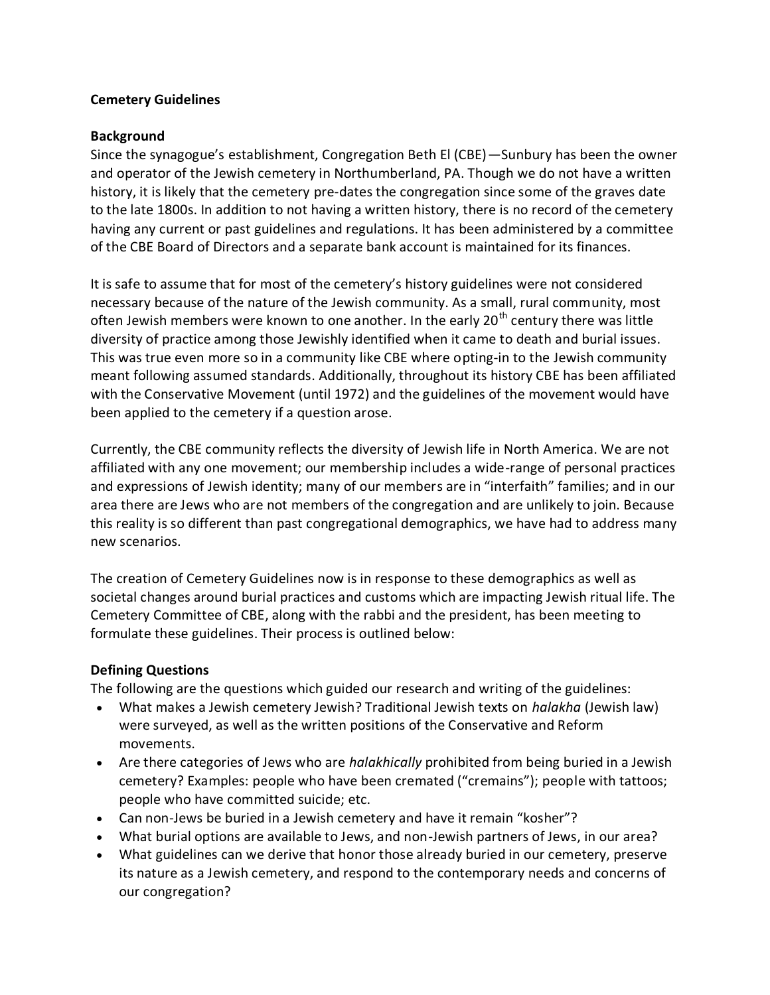# **Cemetery Guidelines**

### **Background**

Since the synagogue's establishment, Congregation Beth El (CBE)—Sunbury has been the owner and operator of the Jewish cemetery in Northumberland, PA. Though we do not have a written history, it is likely that the cemetery pre-dates the congregation since some of the graves date to the late 1800s. In addition to not having a written history, there is no record of the cemetery having any current or past guidelines and regulations. It has been administered by a committee of the CBE Board of Directors and a separate bank account is maintained for its finances.

It is safe to assume that for most of the cemetery's history guidelines were not considered necessary because of the nature of the Jewish community. As a small, rural community, most often Jewish members were known to one another. In the early  $20<sup>th</sup>$  century there was little diversity of practice among those Jewishly identified when it came to death and burial issues. This was true even more so in a community like CBE where opting-in to the Jewish community meant following assumed standards. Additionally, throughout its history CBE has been affiliated with the Conservative Movement (until 1972) and the guidelines of the movement would have been applied to the cemetery if a question arose.

Currently, the CBE community reflects the diversity of Jewish life in North America. We are not affiliated with any one movement; our membership includes a wide-range of personal practices and expressions of Jewish identity; many of our members are in "interfaith" families; and in our area there are Jews who are not members of the congregation and are unlikely to join. Because this reality is so different than past congregational demographics, we have had to address many new scenarios.

The creation of Cemetery Guidelines now is in response to these demographics as well as societal changes around burial practices and customs which are impacting Jewish ritual life. The Cemetery Committee of CBE, along with the rabbi and the president, has been meeting to formulate these guidelines. Their process is outlined below:

# **Defining Questions**

The following are the questions which guided our research and writing of the guidelines:

- What makes a Jewish cemetery Jewish? Traditional Jewish texts on *halakha* (Jewish law) were surveyed, as well as the written positions of the Conservative and Reform movements.
- Are there categories of Jews who are *halakhically* prohibited from being buried in a Jewish cemetery? Examples: people who have been cremated ("cremains"); people with tattoos; people who have committed suicide; etc.
- Can non-Jews be buried in a Jewish cemetery and have it remain "kosher"?
- What burial options are available to Jews, and non-Jewish partners of Jews, in our area?
- What guidelines can we derive that honor those already buried in our cemetery, preserve its nature as a Jewish cemetery, and respond to the contemporary needs and concerns of our congregation?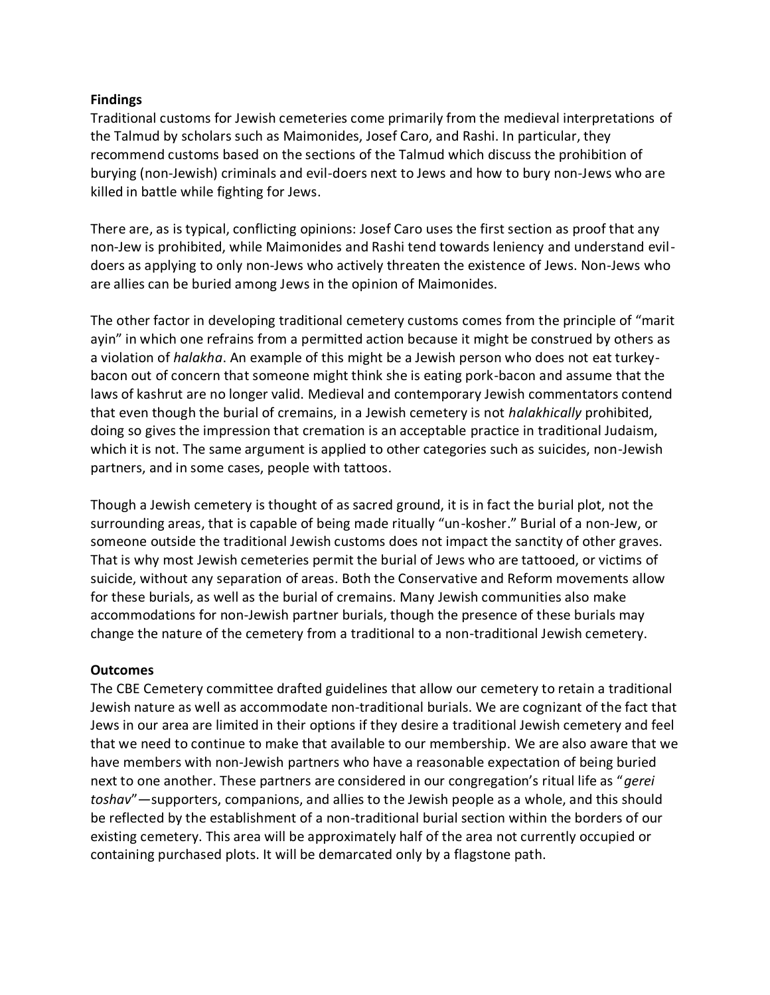#### **Findings**

Traditional customs for Jewish cemeteries come primarily from the medieval interpretations of the Talmud by scholars such as Maimonides, Josef Caro, and Rashi. In particular, they recommend customs based on the sections of the Talmud which discuss the prohibition of burying (non-Jewish) criminals and evil-doers next to Jews and how to bury non-Jews who are killed in battle while fighting for Jews.

There are, as is typical, conflicting opinions: Josef Caro uses the first section as proof that any non-Jew is prohibited, while Maimonides and Rashi tend towards leniency and understand evildoers as applying to only non-Jews who actively threaten the existence of Jews. Non-Jews who are allies can be buried among Jews in the opinion of Maimonides.

The other factor in developing traditional cemetery customs comes from the principle of "marit ayin" in which one refrains from a permitted action because it might be construed by others as a violation of *halakha*. An example of this might be a Jewish person who does not eat turkeybacon out of concern that someone might think she is eating pork-bacon and assume that the laws of kashrut are no longer valid. Medieval and contemporary Jewish commentators contend that even though the burial of cremains, in a Jewish cemetery is not *halakhically* prohibited, doing so gives the impression that cremation is an acceptable practice in traditional Judaism, which it is not. The same argument is applied to other categories such as suicides, non-Jewish partners, and in some cases, people with tattoos.

Though a Jewish cemetery is thought of as sacred ground, it is in fact the burial plot, not the surrounding areas, that is capable of being made ritually "un-kosher." Burial of a non-Jew, or someone outside the traditional Jewish customs does not impact the sanctity of other graves. That is why most Jewish cemeteries permit the burial of Jews who are tattooed, or victims of suicide, without any separation of areas. Both the Conservative and Reform movements allow for these burials, as well as the burial of cremains. Many Jewish communities also make accommodations for non-Jewish partner burials, though the presence of these burials may change the nature of the cemetery from a traditional to a non-traditional Jewish cemetery.

#### **Outcomes**

The CBE Cemetery committee drafted guidelines that allow our cemetery to retain a traditional Jewish nature as well as accommodate non-traditional burials. We are cognizant of the fact that Jews in our area are limited in their options if they desire a traditional Jewish cemetery and feel that we need to continue to make that available to our membership. We are also aware that we have members with non-Jewish partners who have a reasonable expectation of being buried next to one another. These partners are considered in our congregation's ritual life as "*gerei toshav*"—supporters, companions, and allies to the Jewish people as a whole, and this should be reflected by the establishment of a non-traditional burial section within the borders of our existing cemetery. This area will be approximately half of the area not currently occupied or containing purchased plots. It will be demarcated only by a flagstone path.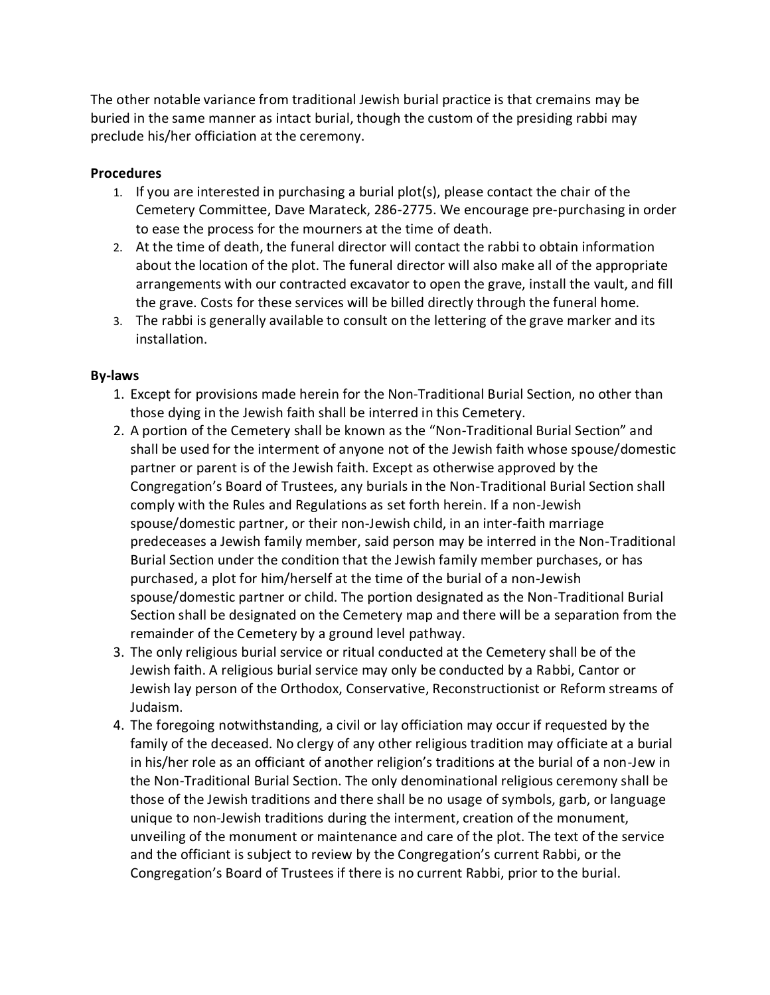The other notable variance from traditional Jewish burial practice is that cremains may be buried in the same manner as intact burial, though the custom of the presiding rabbi may preclude his/her officiation at the ceremony.

# **Procedures**

- 1. If you are interested in purchasing a burial plot(s), please contact the chair of the Cemetery Committee, Dave Marateck, 286-2775. We encourage pre-purchasing in order to ease the process for the mourners at the time of death.
- 2. At the time of death, the funeral director will contact the rabbi to obtain information about the location of the plot. The funeral director will also make all of the appropriate arrangements with our contracted excavator to open the grave, install the vault, and fill the grave. Costs for these services will be billed directly through the funeral home.
- 3. The rabbi is generally available to consult on the lettering of the grave marker and its installation.

# **By-laws**

- 1. Except for provisions made herein for the Non-Traditional Burial Section, no other than those dying in the Jewish faith shall be interred in this Cemetery.
- 2. A portion of the Cemetery shall be known as the "Non-Traditional Burial Section" and shall be used for the interment of anyone not of the Jewish faith whose spouse/domestic partner or parent is of the Jewish faith. Except as otherwise approved by the Congregation's Board of Trustees, any burials in the Non-Traditional Burial Section shall comply with the Rules and Regulations as set forth herein. If a non-Jewish spouse/domestic partner, or their non-Jewish child, in an inter-faith marriage predeceases a Jewish family member, said person may be interred in the Non-Traditional Burial Section under the condition that the Jewish family member purchases, or has purchased, a plot for him/herself at the time of the burial of a non-Jewish spouse/domestic partner or child. The portion designated as the Non-Traditional Burial Section shall be designated on the Cemetery map and there will be a separation from the remainder of the Cemetery by a ground level pathway.
- 3. The only religious burial service or ritual conducted at the Cemetery shall be of the Jewish faith. A religious burial service may only be conducted by a Rabbi, Cantor or Jewish lay person of the Orthodox, Conservative, Reconstructionist or Reform streams of Judaism.
- 4. The foregoing notwithstanding, a civil or lay officiation may occur if requested by the family of the deceased. No clergy of any other religious tradition may officiate at a burial in his/her role as an officiant of another religion's traditions at the burial of a non-Jew in the Non-Traditional Burial Section. The only denominational religious ceremony shall be those of the Jewish traditions and there shall be no usage of symbols, garb, or language unique to non-Jewish traditions during the interment, creation of the monument, unveiling of the monument or maintenance and care of the plot. The text of the service and the officiant is subject to review by the Congregation's current Rabbi, or the Congregation's Board of Trustees if there is no current Rabbi, prior to the burial.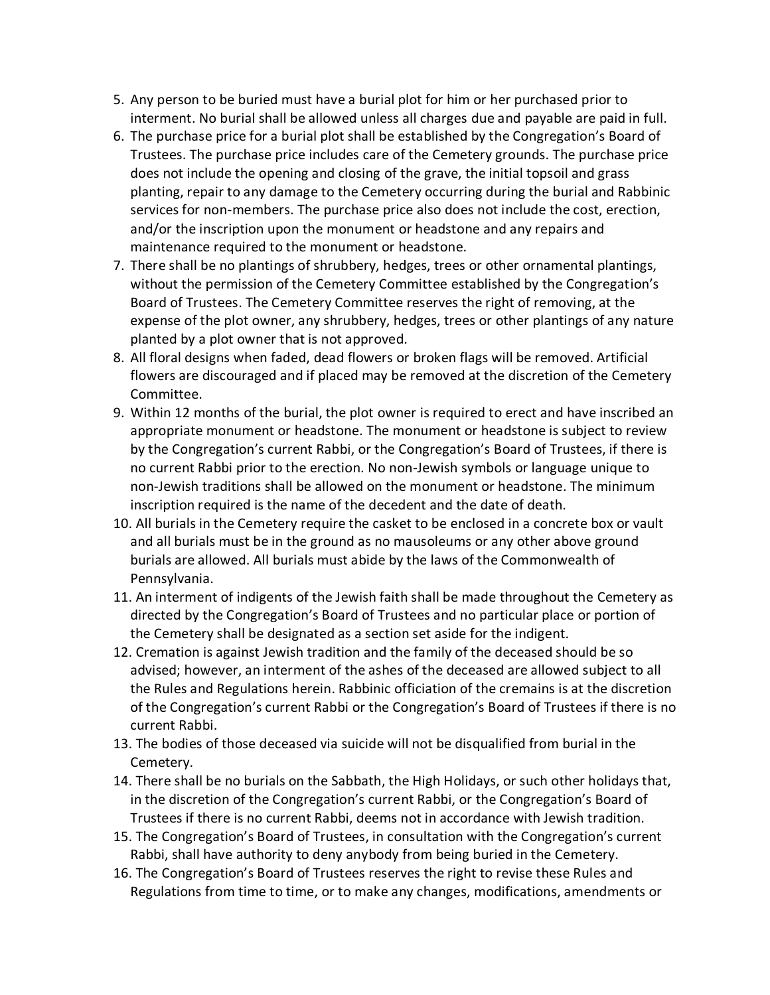- 5. Any person to be buried must have a burial plot for him or her purchased prior to interment. No burial shall be allowed unless all charges due and payable are paid in full.
- 6. The purchase price for a burial plot shall be established by the Congregation's Board of Trustees. The purchase price includes care of the Cemetery grounds. The purchase price does not include the opening and closing of the grave, the initial topsoil and grass planting, repair to any damage to the Cemetery occurring during the burial and Rabbinic services for non-members. The purchase price also does not include the cost, erection, and/or the inscription upon the monument or headstone and any repairs and maintenance required to the monument or headstone.
- 7. There shall be no plantings of shrubbery, hedges, trees or other ornamental plantings, without the permission of the Cemetery Committee established by the Congregation's Board of Trustees. The Cemetery Committee reserves the right of removing, at the expense of the plot owner, any shrubbery, hedges, trees or other plantings of any nature planted by a plot owner that is not approved.
- 8. All floral designs when faded, dead flowers or broken flags will be removed. Artificial flowers are discouraged and if placed may be removed at the discretion of the Cemetery Committee.
- 9. Within 12 months of the burial, the plot owner is required to erect and have inscribed an appropriate monument or headstone. The monument or headstone is subject to review by the Congregation's current Rabbi, or the Congregation's Board of Trustees, if there is no current Rabbi prior to the erection. No non-Jewish symbols or language unique to non-Jewish traditions shall be allowed on the monument or headstone. The minimum inscription required is the name of the decedent and the date of death.
- 10. All burials in the Cemetery require the casket to be enclosed in a concrete box or vault and all burials must be in the ground as no mausoleums or any other above ground burials are allowed. All burials must abide by the laws of the Commonwealth of Pennsylvania.
- 11. An interment of indigents of the Jewish faith shall be made throughout the Cemetery as directed by the Congregation's Board of Trustees and no particular place or portion of the Cemetery shall be designated as a section set aside for the indigent.
- 12. Cremation is against Jewish tradition and the family of the deceased should be so advised; however, an interment of the ashes of the deceased are allowed subject to all the Rules and Regulations herein. Rabbinic officiation of the cremains is at the discretion of the Congregation's current Rabbi or the Congregation's Board of Trustees if there is no current Rabbi.
- 13. The bodies of those deceased via suicide will not be disqualified from burial in the Cemetery.
- 14. There shall be no burials on the Sabbath, the High Holidays, or such other holidays that, in the discretion of the Congregation's current Rabbi, or the Congregation's Board of Trustees if there is no current Rabbi, deems not in accordance with Jewish tradition.
- 15. The Congregation's Board of Trustees, in consultation with the Congregation's current Rabbi, shall have authority to deny anybody from being buried in the Cemetery.
- 16. The Congregation's Board of Trustees reserves the right to revise these Rules and Regulations from time to time, or to make any changes, modifications, amendments or